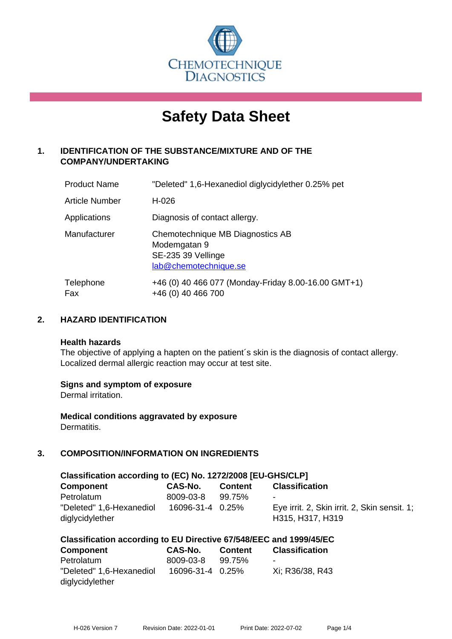

# **Safety Data Sheet**

# **1. IDENTIFICATION OF THE SUBSTANCE/MIXTURE AND OF THE COMPANY/UNDERTAKING**

| <b>Product Name</b>   | "Deleted" 1,6-Hexanediol diglycidylether 0.25% pet                                              |
|-----------------------|-------------------------------------------------------------------------------------------------|
| <b>Article Number</b> | H-026                                                                                           |
| Applications          | Diagnosis of contact allergy.                                                                   |
| Manufacturer          | Chemotechnique MB Diagnostics AB<br>Modemgatan 9<br>SE-235 39 Vellinge<br>lab@chemotechnique.se |
| Telephone<br>Fax      | +46 (0) 40 466 077 (Monday-Friday 8.00-16.00 GMT+1)<br>+46 (0) 40 466 700                       |

## **2. HAZARD IDENTIFICATION**

#### **Health hazards**

The objective of applying a hapten on the patient's skin is the diagnosis of contact allergy. Localized dermal allergic reaction may occur at test site.

## **Signs and symptom of exposure**

Dermal irritation.

**Medical conditions aggravated by exposure** Dermatitis.

# **3. COMPOSITION/INFORMATION ON INGREDIENTS**

| Classification according to (EC) No. 1272/2008 [EU-GHS/CLP] |                  |                |                                                                  |  |
|-------------------------------------------------------------|------------------|----------------|------------------------------------------------------------------|--|
| <b>Component</b>                                            | CAS-No.          | <b>Content</b> | <b>Classification</b>                                            |  |
| Petrolatum                                                  | 8009-03-8        | 99.75%         | $\sim$                                                           |  |
| "Deleted" 1,6-Hexanediol<br>diglycidylether                 | 16096-31-4 0.25% |                | Eye irrit. 2, Skin irrit. 2, Skin sensit. 1;<br>H315, H317, H319 |  |

| <b>Component</b>         | CAS-No.          | <b>Content</b> | <b>Classification</b> |
|--------------------------|------------------|----------------|-----------------------|
| Petrolatum               | 8009-03-8        | 99.75%         | $\blacksquare$        |
| "Deleted" 1,6-Hexanediol | 16096-31-4 0.25% |                | Xi: R36/38, R43       |
| diglycidylether          |                  |                |                       |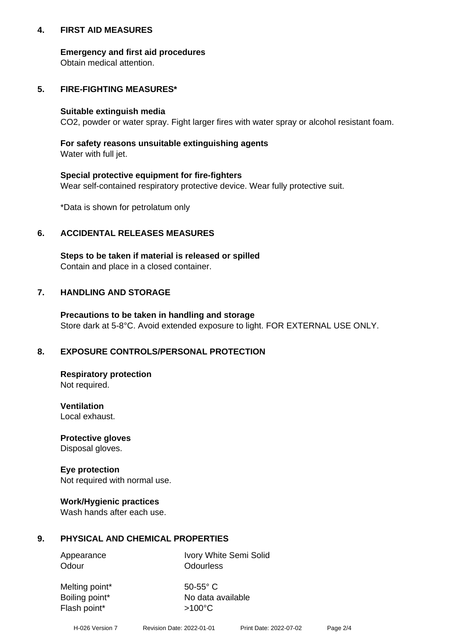## **4. FIRST AID MEASURES**

## **Emergency and first aid procedures**

Obtain medical attention.

# **5. FIRE-FIGHTING MEASURES\***

#### **Suitable extinguish media**

CO2, powder or water spray. Fight larger fires with water spray or alcohol resistant foam.

# **For safety reasons unsuitable extinguishing agents**

Water with full jet.

## **Special protective equipment for fire-fighters**

Wear self-contained respiratory protective device. Wear fully protective suit.

\*Data is shown for petrolatum only

## **6. ACCIDENTAL RELEASES MEASURES**

**Steps to be taken if material is released or spilled** Contain and place in a closed container.

# **7. HANDLING AND STORAGE**

**Precautions to be taken in handling and storage** Store dark at 5-8°C. Avoid extended exposure to light. FOR EXTERNAL USE ONLY.

# **8. EXPOSURE CONTROLS/PERSONAL PROTECTION**

**Respiratory protection** Not required.

**Ventilation** Local exhaust.

**Protective gloves** Disposal gloves.

#### **Eye protection** Not required with normal use.

## **Work/Hygienic practices**

Wash hands after each use.

## **9. PHYSICAL AND CHEMICAL PROPERTIES**

Odour **Odourless** 

Appearance Ivory White Semi Solid

Melting point\* 50-55° C Flash point\*  $>100^{\circ}$ C

Boiling point\* No data available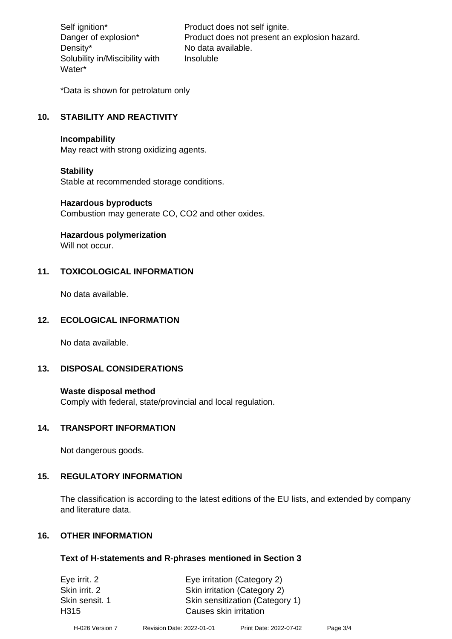Density\* No data available. Solubility in/Miscibility with Water\*

Self ignition\* Product does not self ignite. Danger of explosion\* Product does not present an explosion hazard. Insoluble

\*Data is shown for petrolatum only

# **10. STABILITY AND REACTIVITY**

#### **Incompability**

May react with strong oxidizing agents.

#### **Stability**

Stable at recommended storage conditions.

## **Hazardous byproducts**

Combustion may generate CO, CO2 and other oxides.

**Hazardous polymerization**

Will not occur.

## **11. TOXICOLOGICAL INFORMATION**

No data available.

## **12. ECOLOGICAL INFORMATION**

No data available.

## **13. DISPOSAL CONSIDERATIONS**

#### **Waste disposal method**

Comply with federal, state/provincial and local regulation.

#### **14. TRANSPORT INFORMATION**

Not dangerous goods.

## **15. REGULATORY INFORMATION**

The classification is according to the latest editions of the EU lists, and extended by company and literature data.

## **16. OTHER INFORMATION**

#### **Text of H-statements and R-phrases mentioned in Section 3**

| Eye irrit. 2   | Eye irritation (Category 2)     |
|----------------|---------------------------------|
| Skin irrit. 2  | Skin irritation (Category 2)    |
| Skin sensit. 1 | Skin sensitization (Category 1) |
| H315           | Causes skin irritation          |
|                |                                 |